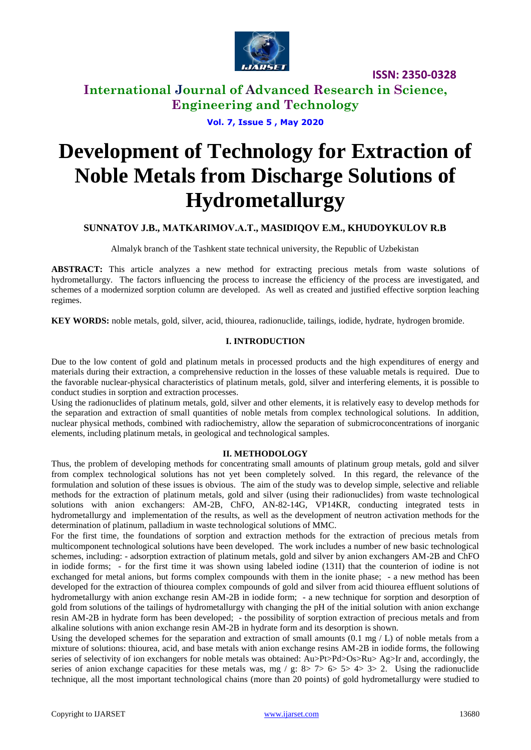

# **International Journal of Advanced Research in Science, Engineering and Technology**

**Vol. 7, Issue 5 , May 2020**

# **Development of Technology for Extraction of Noble Metals from Discharge Solutions of Hydrometallurgy**

## **SUNNATOV J.B., MATKARIMOV.A.Т., MASIDIQOV E.M., KHUDOYKULOV R.B**

Almalyk branch of the Tashkent state technical university, the Republic of Uzbekistan

**ABSTRACT:** This article analyzes a new method for extracting precious metals from waste solutions of hydrometallurgy. The factors influencing the process to increase the efficiency of the process are investigated, and schemes of a modernized sorption column are developed. As well as created and justified effective sorption leaching regimes.

**KEY WORDS:** noble metals, gold, silver, acid, thiourea, radionuclide, tailings, iodide, hydrate, hydrogen bromide.

#### **I. INTRODUCTION**

Due to the low content of gold and platinum metals in processed products and the high expenditures of energy and materials during their extraction, a comprehensive reduction in the losses of these valuable metals is required. Due to the favorable nuclear-physical characteristics of platinum metals, gold, silver and interfering elements, it is possible to conduct studies in sorption and extraction processes.

Using the radionuclides of platinum metals, gold, silver and other elements, it is relatively easy to develop methods for the separation and extraction of small quantities of noble metals from complex technological solutions. In addition, nuclear physical methods, combined with radiochemistry, allow the separation of submicroconcentrations of inorganic elements, including platinum metals, in geological and technological samples.

#### **II. METHODOLOGY**

Thus, the problem of developing methods for concentrating small amounts of platinum group metals, gold and silver from complex technological solutions has not yet been completely solved. In this regard, the relevance of the formulation and solution of these issues is obvious. The aim of the study was to develop simple, selective and reliable methods for the extraction of platinum metals, gold and silver (using their radionuclides) from waste technological solutions with anion exchangers: AM-2B, ChFO, AN-82-14G, VP14KR, conducting integrated tests in hydrometallurgy and implementation of the results, as well as the development of neutron activation methods for the determination of platinum, palladium in waste technological solutions of MMC.

For the first time, the foundations of sorption and extraction methods for the extraction of precious metals from multicomponent technological solutions have been developed. The work includes a number of new basic technological schemes, including: - adsorption extraction of platinum metals, gold and silver by anion exchangers AM-2B and ChFO in iodide forms; - for the first time it was shown using labeled iodine (131I) that the counterion of iodine is not exchanged for metal anions, but forms complex compounds with them in the ionite phase; - a new method has been developed for the extraction of thiourea complex compounds of gold and silver from acid thiourea effluent solutions of hydrometallurgy with anion exchange resin AM-2B in iodide form; - a new technique for sorption and desorption of gold from solutions of the tailings of hydrometallurgy with changing the pH of the initial solution with anion exchange resin AM-2B in hydrate form has been developed; - the possibility of sorption extraction of precious metals and from alkaline solutions with anion exchange resin AM-2B in hydrate form and its desorption is shown.

Using the developed schemes for the separation and extraction of small amounts (0.1 mg  $/$  L) of noble metals from a mixture of solutions: thiourea, acid, and base metals with anion exchange resins AM-2B in iodide forms, the following series of selectivity of ion exchangers for noble metals was obtained: Au>Pt>Pd>Os>Ru> Ag>Ir and, accordingly, the series of anion exchange capacities for these metals was, mg / g:  $8 > 7 > 6 > 5 > 4 > 3 > 2$ . Using the radionuclide technique, all the most important technological chains (more than 20 points) of gold hydrometallurgy were studied to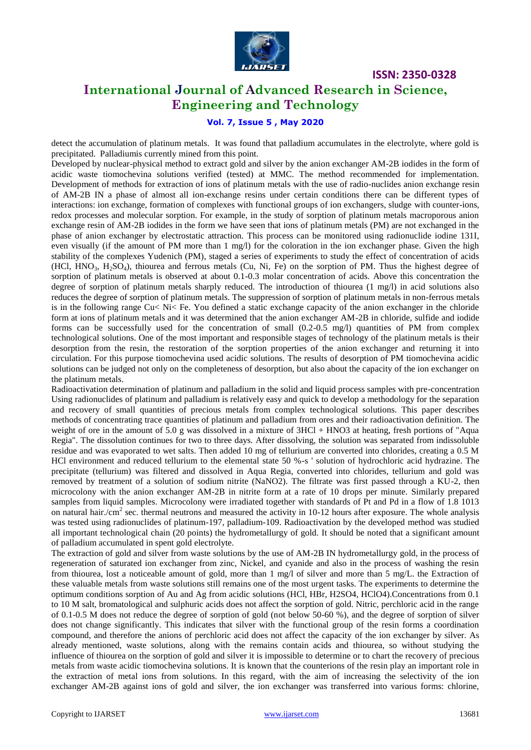

# **International Journal of Advanced Research in Science, Engineering and Technology**

#### **Vol. 7, Issue 5 , May 2020**

detect the accumulation of platinum metals. It was found that palladium accumulates in the electrolyte, where gold is precipitated. Palladiumis currently mined from this point.

Developed by nuclear-physical method to extract gold and silver by the anion exchanger AM-2B iodides in the form of acidic waste tiomochevina solutions verified (tested) at MMC. The method recommended for implementation. Development of methods for extraction of ions of platinum metals with the use of radio-nuclides anion exchange resin of AM-2B IN a phase of almost all ion-exchange resins under certain conditions there can be different types of interactions: ion exchange, formation of complexes with functional groups of ion exchangers, sludge with counter-ions, redox processes and molecular sorption. For example, in the study of sorption of platinum metals macroporous anion exchange resin of AM-2B iodides in the form we have seen that ions of platinum metals (PM) are not exchanged in the phase of anion exchanger by electrostatic attraction. This process can be monitored using radionuclide iodine 131I, even visually (if the amount of PM more than 1 mg/l) for the coloration in the ion exchanger phase. Given the high stability of the complexes Yudenich (PM), staged a series of experiments to study the effect of concentration of acids (HCl, HNO<sub>3</sub>, H<sub>2</sub>SO<sub>4</sub>), thiourea and ferrous metals (Cu, Ni, Fe) on the sorption of PM. Thus the highest degree of sorption of platinum metals is observed at about 0.1-0.3 molar concentration of acids. Above this concentration the degree of sorption of platinum metals sharply reduced. The introduction of thiourea (1 mg/l) in acid solutions also reduces the degree of sorption of platinum metals. The suppression of sorption of platinum metals in non-ferrous metals is in the following range Cu< Ni< Fe. You defined a static exchange capacity of the anion exchanger in the chloride form at ions of platinum metals and it was determined that the anion exchanger AM-2B in chloride, sulfide and iodide forms can be successfully used for the concentration of small (0.2-0.5 mg/l) quantities of PM from complex technological solutions. One of the most important and responsible stages of technology of the platinum metals is their desorption from the resin, the restoration of the sorption properties of the anion exchanger and returning it into circulation. For this purpose tiomochevina used acidic solutions. The results of desorption of PM tiomochevina acidic solutions can be judged not only on the completeness of desorption, but also about the capacity of the ion exchanger on the platinum metals.

Radioactivation determination of platinum and palladium in the solid and liquid process samples with pre-concentration Using radionuclides of platinum and palladium is relatively easy and quick to develop a methodology for the separation and recovery of small quantities of precious metals from complex technological solutions. This paper describes methods of concentrating trace quantities of platinum and palladium from ores and their radioactivation definition. The weight of ore in the amount of 5.0 g was dissolved in a mixture of 3HCl + HNO3 at heating, fresh portions of "Aqua Regia". The dissolution continues for two to three days. After dissolving, the solution was separated from indissoluble residue and was evaporated to wet salts. Then added 10 mg of tellurium are converted into chlorides, creating a 0.5 M HCl environment and reduced tellurium to the elemental state 50 %-s ' solution of hydrochloric acid hydrazine. The precipitate (tellurium) was filtered and dissolved in Aqua Regia, converted into chlorides, tellurium and gold was removed by treatment of a solution of sodium nitrite (NaNO2). The filtrate was first passed through a KU-2, then microcolony with the anion exchanger AM-2B in nitrite form at a rate of 10 drops per minute. Similarly prepared samples from liquid samples. Microcolony were irradiated together with standards of Pt and Pd in a flow of 1.8 1013 on natural hair./ $\rm{cm}^2$  sec. thermal neutrons and measured the activity in 10-12 hours after exposure. The whole analysis was tested using radionuclides of platinum-197, palladium-109. Radioactivation by the developed method was studied all important technological chain (20 points) the hydrometallurgy of gold. It should be noted that a significant amount of palladium accumulated in spent gold electrolyte.

The extraction of gold and silver from waste solutions by the use of AM-2B IN hydrometallurgy gold, in the process of regeneration of saturated ion exchanger from zinc, Nickel, and cyanide and also in the process of washing the resin from thiourea, lost a noticeable amount of gold, more than 1 mg/l of silver and more than 5 mg/L. the Extraction of these valuable metals from waste solutions still remains one of the most urgent tasks. The experiments to determine the optimum conditions sorption of Au and Ag from acidic solutions (HCl, HBr, H2SO4, HClO4).Concentrations from 0.1 to 10 M salt, bromatological and sulphuric acids does not affect the sorption of gold. Nitric, perchloric acid in the range of 0.1-0.5 M does not reduce the degree of sorption of gold (not below 50-60 %), and the degree of sorption of silver does not change significantly. This indicates that silver with the functional group of the resin forms a coordination compound, and therefore the anions of perchloric acid does not affect the capacity of the ion exchanger by silver. As already mentioned, waste solutions, along with the remains contain acids and thiourea, so without studying the influence of thiourea on the sorption of gold and silver it is impossible to determine or to chart the recovery of precious metals from waste acidic tiomochevina solutions. It is known that the counterions of the resin play an important role in the extraction of metal ions from solutions. In this regard, with the aim of increasing the selectivity of the ion exchanger AM-2B against ions of gold and silver, the ion exchanger was transferred into various forms: chlorine,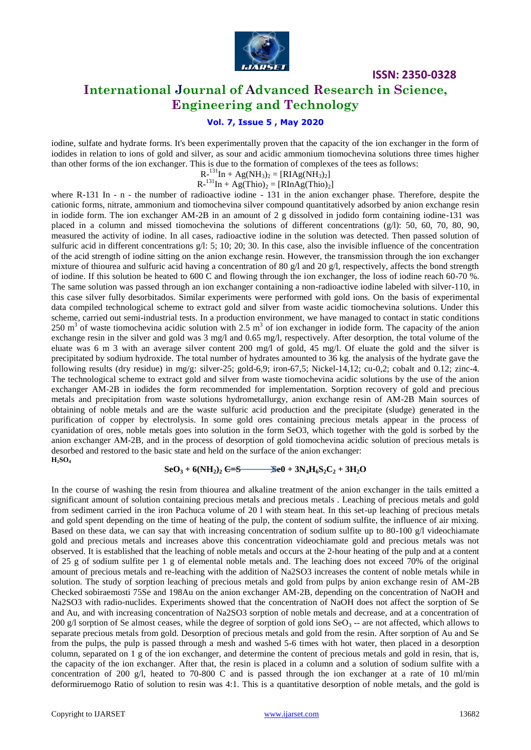

# **International Journal of Advanced Research in Science, Engineering and Technology**

#### **Vol. 7, Issue 5 , May 2020**

iodine, sulfate and hydrate forms. It's been experimentally proven that the capacity of the ion exchanger in the form of iodides in relation to ions of gold and silver, as sour and acidic ammonium tiomochevina solutions three times higher than other forms of the ion exchanger. This is due to the formation of complexes of the tees as follows:

 $R^{-131}In + Ag(NH_3)_2 = [RIAg(NH_3)_2]$ 

 $R^{-131}In + Ag(Thio)_2 = [RInAg(Thio)_2]$ 

where R-131 In - n - the number of radioactive iodine - 131 in the anion exchanger phase. Therefore, despite the cationic forms, nitrate, ammonium and tiomochevina silver compound quantitatively adsorbed by anion exchange resin in iodide form. The ion exchanger AM-2B in an amount of 2 g dissolved in jodido form containing iodine-131 was placed in a column and missed tiomochevina the solutions of different concentrations (g/l): 50, 60, 70, 80, 90, measured the activity of iodine. In all cases, radioactive iodine in the solution was detected. Then passed solution of sulfuric acid in different concentrations g/l: 5; 10; 20; 30. In this case, also the invisible influence of the concentration of the acid strength of iodine sitting on the anion exchange resin. However, the transmission through the ion exchanger mixture of thiourea and sulfuric acid having a concentration of 80  $g/$ l and 20  $g/$ l, respectively, affects the bond strength of iodine. If this solution be heated to 600 C and flowing through the ion exchanger, the loss of iodine reach 60-70 %. The same solution was passed through an ion exchanger containing a non-radioactive iodine labeled with silver-110, in this case silver fully desorbitados. Similar experiments were performed with gold ions. On the basis of experimental data compiled technological scheme to extract gold and silver from waste acidic tiomochevina solutions. Under this scheme, carried out semi-industrial tests. In a production environment, we have managed to contact in static conditions 250 m<sup>3</sup> of waste tiomochevina acidic solution with 2.5 m<sup>3</sup> of ion exchanger in iodide form. The capacity of the anion exchange resin in the silver and gold was 3 mg/l and 0.65 mg/l, respectively. After desorption, the total volume of the eluate was 6 m 3 with an average silver content 200 mg/l of gold, 45 mg/l. Of eluate the gold and the silver is precipitated by sodium hydroxide. The total number of hydrates amounted to 36 kg. the analysis of the hydrate gave the following results (dry residue) in mg/g: silver-25; gold-6,9; iron-67,5; Nickel-14,12; cu-0,2; cobalt and 0.12; zinc-4. The technological scheme to extract gold and silver from waste tiomochevina acidic solutions by the use of the anion exchanger AM-2B in iodides the form recommended for implementation. Sorption recovery of gold and precious metals and precipitation from waste solutions hydrometallurgy, anion exchange resin of AM-2B Main sources of obtaining of noble metals and are the waste sulfuric acid production and the precipitate (sludge) generated in the purification of copper by electrolysis. In some gold ores containing precious metals appear in the process of cyanidation of ores, noble metals goes into solution in the form SeO3, which together with the gold is sorbed by the anion exchanger AM-2B, and in the process of desorption of gold tiomochevina acidic solution of precious metals is desorbed and restored to the basic state and held on the surface of the anion exchanger: **H2SO<sup>4</sup>**

 $\text{SeO}_3 + 6(\text{NH}_2)_2 \text{ }\n\text{C-S}$   $\text{BeO} + 3\text{N}_4\text{H}_6\text{S}_2\text{C}_2 + 3\text{H}_2\text{O}$ 

In the course of washing the resin from thiourea and alkaline treatment of the anion exchanger in the tails emitted a significant amount of solution containing precious metals and precious metals . Leaching of precious metals and gold from sediment carried in the iron Pachuca volume of 20 l with steam heat. In this set-up leaching of precious metals and gold spent depending on the time of heating of the pulp, the content of sodium sulfite, the influence of air mixing. Based on these data, we can say that with increasing concentration of sodium sulfite up to 80-100 g/l videochiamate gold and precious metals and increases above this concentration videochiamate gold and precious metals was not observed. It is established that the leaching of noble metals and occurs at the 2-hour heating of the pulp and at a content of 25 g of sodium sulfite per 1 g of elemental noble metals and. The leaching does not exceed 70% of the original amount of precious metals and re-leaching with the addition of Na2SO3 increases the content of noble metals while in solution. The study of sorption leaching of precious metals and gold from pulps by anion exchange resin of AM-2B Checked sobiraemosti 75Se and 198Au on the anion exchanger AM-2B, depending on the concentration of NaOH and Na2SO3 with radio-nuclides. Experiments showed that the concentration of NaOH does not affect the sorption of Se and Au, and with increasing concentration of Na2SO3 sorption of noble metals and decrease, and at a concentration of 200 g/l sorption of Se almost ceases, while the degree of sorption of gold ions  $\text{SeO}_3$  -- are not affected, which allows to separate precious metals from gold. Desorption of precious metals and gold from the resin. After sorption of Au and Se from the pulps, the pulp is passed through a mesh and washed 5-6 times with hot water, then placed in a desorption column, separated on 1 g of the ion exchanger, and determine the content of precious metals and gold in resin, that is, the capacity of the ion exchanger. After that, the resin is placed in a column and a solution of sodium sulfite with a concentration of 200 g/l, heated to 70-800 C and is passed through the ion exchanger at a rate of 10 ml/min deformiruemogo Ratio of solution to resin was 4:1. This is a quantitative desorption of noble metals, and the gold is